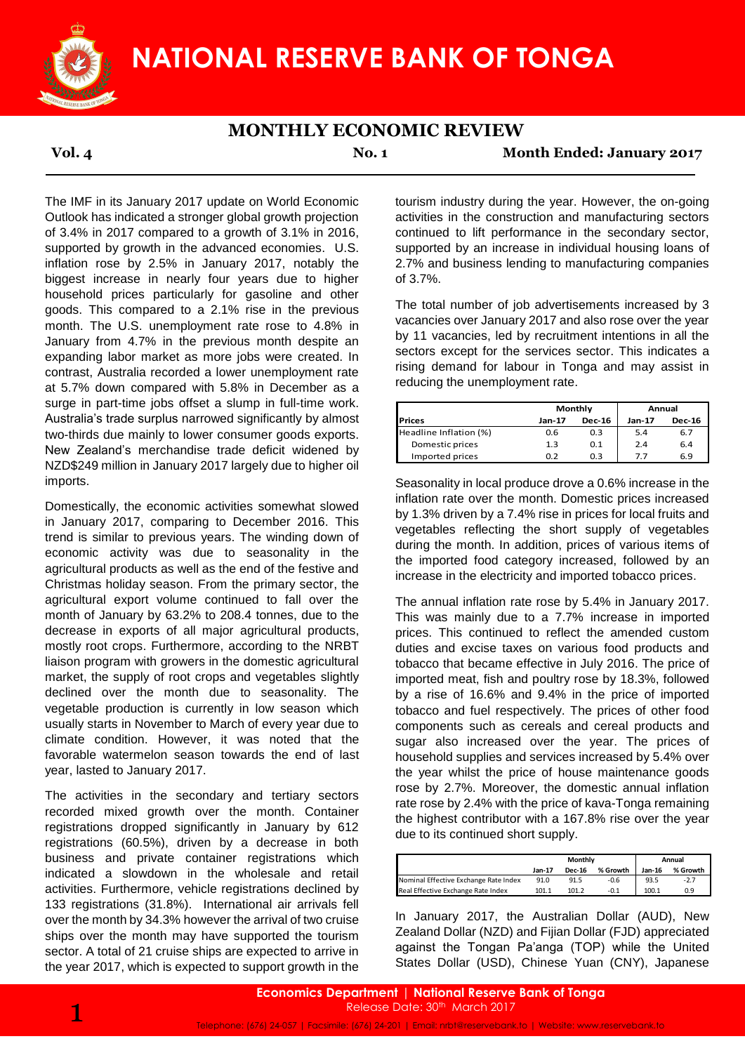

### **MONTHLY ECONOMIC REVIEW**

**Vol. 4 No. 1 Month Ended: January 2017**

The IMF in its January 2017 update on World Economic Outlook has indicated a stronger global growth projection of 3.4% in 2017 compared to a growth of 3.1% in 2016, supported by growth in the advanced economies. U.S. inflation rose by 2.5% in January 2017, notably the biggest increase in nearly four years due to higher household prices particularly for gasoline and other goods. This compared to a 2.1% rise in the previous month. The U.S. unemployment rate rose to 4.8% in January from 4.7% in the previous month despite an expanding labor market as more jobs were created. In contrast, Australia recorded a lower unemployment rate at 5.7% down compared with 5.8% in December as a surge in part-time jobs offset a slump in full-time work. Australia's trade surplus narrowed significantly by almost two-thirds due mainly to lower consumer goods exports. New Zealand's merchandise trade deficit widened by NZD\$249 million in January 2017 largely due to higher oil imports.

Domestically, the economic activities somewhat slowed in January 2017, comparing to December 2016. This trend is similar to previous years. The winding down of economic activity was due to seasonality in the agricultural products as well as the end of the festive and Christmas holiday season. From the primary sector, the agricultural export volume continued to fall over the month of January by 63.2% to 208.4 tonnes, due to the decrease in exports of all major agricultural products, mostly root crops. Furthermore, according to the NRBT liaison program with growers in the domestic agricultural market, the supply of root crops and vegetables slightly declined over the month due to seasonality. The vegetable production is currently in low season which usually starts in November to March of every year due to climate condition. However, it was noted that the favorable watermelon season towards the end of last year, lasted to January 2017.

The activities in the secondary and tertiary sectors recorded mixed growth over the month. Container registrations dropped significantly in January by 612 registrations (60.5%), driven by a decrease in both business and private container registrations which indicated a slowdown in the wholesale and retail activities. Furthermore, vehicle registrations declined by 133 registrations (31.8%). International air arrivals fell over the month by 34.3% however the arrival of two cruise ships over the month may have supported the tourism sector. A total of 21 cruise ships are expected to arrive in the year 2017, which is expected to support growth in the

tourism industry during the year. However, the on-going activities in the construction and manufacturing sectors continued to lift performance in the secondary sector, supported by an increase in individual housing loans of 2.7% and business lending to manufacturing companies of 3.7%.

The total number of job advertisements increased by 3 vacancies over January 2017 and also rose over the year by 11 vacancies, led by recruitment intentions in all the sectors except for the services sector. This indicates a rising demand for labour in Tonga and may assist in reducing the unemployment rate.

|                        |        | Monthly       | Annual        |               |  |
|------------------------|--------|---------------|---------------|---------------|--|
| <b>IPrices</b>         | Jan-17 | <b>Dec-16</b> | <b>Jan-17</b> | <b>Dec-16</b> |  |
| Headline Inflation (%) | 0.6    | 0.3           | 5.4           | 6.7           |  |
| Domestic prices        | 1.3    | 0.1           | 2.4           | 6.4           |  |
| Imported prices        | 0.Z    | 0.3           | 77            | 6.9           |  |

Seasonality in local produce drove a 0.6% increase in the inflation rate over the month. Domestic prices increased by 1.3% driven by a 7.4% rise in prices for local fruits and vegetables reflecting the short supply of vegetables during the month. In addition, prices of various items of the imported food category increased, followed by an increase in the electricity and imported tobacco prices.

The annual inflation rate rose by 5.4% in January 2017. This was mainly due to a 7.7% increase in imported prices. This continued to reflect the amended custom duties and excise taxes on various food products and tobacco that became effective in July 2016. The price of imported meat, fish and poultry rose by 18.3%, followed by a rise of 16.6% and 9.4% in the price of imported tobacco and fuel respectively. The prices of other food components such as cereals and cereal products and sugar also increased over the year. The prices of household supplies and services increased by 5.4% over the year whilst the price of house maintenance goods rose by 2.7%. Moreover, the domestic annual inflation rate rose by 2.4% with the price of kava-Tonga remaining the highest contributor with a 167.8% rise over the year due to its continued short supply.

|                                       | Monthly |               |          | Annual |          |  |
|---------------------------------------|---------|---------------|----------|--------|----------|--|
|                                       | Jan-17  | <b>Dec-16</b> | % Growth | Jan-16 | % Growth |  |
| Nominal Effective Exchange Rate Index | 91.0    | 91.5          | $-0.6$   | 93.5   | $-2.7$   |  |
| Real Effective Exchange Rate Index    | 101.1   | 101 2         | $-0.1$   | 100.1  | 0.9      |  |

In January 2017, the Australian Dollar (AUD), New Zealand Dollar (NZD) and Fijian Dollar (FJD) appreciated against the Tongan Pa'anga (TOP) while the United States Dollar (USD), Chinese Yuan (CNY), Japanese

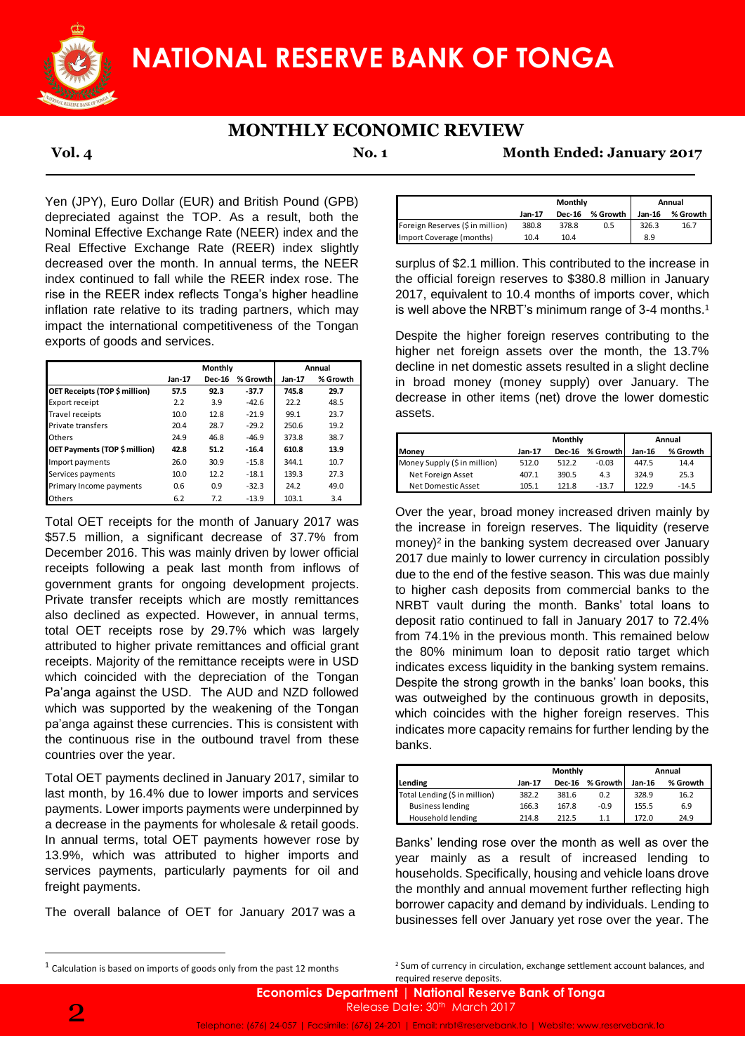

# **MONTHLY ECONOMIC REVIEW**

**Vol. 4 No. 1 Month Ended: January 2017**

Yen (JPY), Euro Dollar (EUR) and British Pound (GPB) depreciated against the TOP. As a result, both the Nominal Effective Exchange Rate (NEER) index and the Real Effective Exchange Rate (REER) index slightly decreased over the month. In annual terms, the NEER index continued to fall while the REER index rose. The rise in the REER index reflects Tonga's higher headline inflation rate relative to its trading partners, which may impact the international competitiveness of the Tongan exports of goods and services.

|                               |        | Monthly       |          | Annual        |          |  |
|-------------------------------|--------|---------------|----------|---------------|----------|--|
|                               | Jan-17 | <b>Dec-16</b> | % Growth | <b>Jan-17</b> | % Growth |  |
| OET Receipts (TOP \$ million) | 57.5   | 92.3          | $-37.7$  | 745.8         | 29.7     |  |
| Export receipt                | 2.2    | 3.9           | $-42.6$  | 22.2          | 48.5     |  |
| Travel receipts               | 10.0   | 12.8          | $-21.9$  | 99.1          | 23.7     |  |
| <b>Private transfers</b>      | 20.4   | 28.7          | $-29.2$  | 250.6         | 19.2     |  |
| Others                        | 24.9   | 46.8          | $-46.9$  | 373.8         | 38.7     |  |
| OET Payments (TOP \$ million) | 42.8   | 51.2          | $-16.4$  | 610.8         | 13.9     |  |
| Import payments               | 26.0   | 30.9          | $-15.8$  | 344.1         | 10.7     |  |
| Services payments             | 10.0   | 12.2          | $-18.1$  | 139.3         | 27.3     |  |
| Primary Income payments       | 0.6    | 0.9           | $-32.3$  | 24.2          | 49.0     |  |
| Others                        | 6.2    | 7.2           | $-13.9$  | 103.1         | 3.4      |  |

Total OET receipts for the month of January 2017 was \$57.5 million, a significant decrease of 37.7% from December 2016. This was mainly driven by lower official receipts following a peak last month from inflows of government grants for ongoing development projects. Private transfer receipts which are mostly remittances also declined as expected. However, in annual terms, total OET receipts rose by 29.7% which was largely attributed to higher private remittances and official grant receipts. Majority of the remittance receipts were in USD which coincided with the depreciation of the Tongan Pa'anga against the USD. The AUD and NZD followed which was supported by the weakening of the Tongan pa'anga against these currencies. This is consistent with the continuous rise in the outbound travel from these countries over the year. required reserve deposits. **Jan-17 Dec-16 % Growth Jan-17 % Growth**

Total OET payments declined in January 2017, similar to last month, by 16.4% due to lower imports and services payments. Lower imports payments were underpinned by a decrease in the payments for wholesale & retail goods. In annual terms, total OET payments however rose by 13.9%, which was attributed to higher imports and services payments, particularly payments for oil and freight payments.

The overall balance of OET for January 2017 was a

surplus of \$2.1 million. This contributed to the increase in the official foreign reserves to \$380.8 million in January 2017, equivalent to 10.4 months of imports cover, which is well above the NRBT's minimum range of 3-4 months.<sup>1</sup>

Despite the higher foreign reserves contributing to the higher net foreign assets over the month, the 13.7% decline in net domestic assets resulted in a slight decline in broad money (money supply) over January. The decrease in other items (net) drove the lower domestic assets.

|                              | Monthly |               |          | Annual |          |  |
|------------------------------|---------|---------------|----------|--------|----------|--|
| <b>Money</b>                 | Jan-17  | <b>Dec-16</b> | % Growth | Jan-16 | % Growth |  |
| Money Supply (\$ in million) | 512.0   | 512.2         | $-0.03$  | 447.5  | 14.4     |  |
| Net Foreign Asset            | 407.1   | 390.5         | 4.3      | 324.9  | 25.3     |  |
| Net Domestic Asset           | 105.1   | 121.8         | $-13.7$  | 122.9  | $-14.5$  |  |

Over the year, broad money increased driven mainly by the increase in foreign reserves. The liquidity (reserve money)<sup>2</sup> in the banking system decreased over January 2017 due mainly to lower currency in circulation possibly due to the end of the festive season. This was due mainly to higher cash deposits from commercial banks to the NRBT vault during the month. Banks' total loans to deposit ratio continued to fall in January 2017 to 72.4% from 74.1% in the previous month. This remained below the 80% minimum loan to deposit ratio target which indicates excess liquidity in the banking system remains. Despite the strong growth in the banks' loan books, this was outweighed by the continuous growth in deposits, which coincides with the higher foreign reserves. This indicates more capacity remains for further lending by the banks.

|                               |        | Monthly       | Annual   |        |          |
|-------------------------------|--------|---------------|----------|--------|----------|
| Lending                       | Jan-17 | <b>Dec-16</b> | % Growth | Jan-16 | % Growth |
| Total Lending (\$ in million) | 382.2  | 381.6         | 0.2      | 328.9  | 16.2     |
| <b>Business lending</b>       | 166.3  | 167.8         | $-0.9$   | 155.5  | 6.9      |
| Household lending             | 214.8  | 212 5         | 11       | 1720   | 24.9     |

Banks' lending rose over the month as well as over the year mainly as a result of increased lending to households. Specifically, housing and vehicle loans drove the monthly and annual movement further reflecting high borrower capacity and demand by individuals. Lending to businesses fell over January yet rose over the year. The

<sup>2</sup> Sum of currency in circulation, exchange settlement account balances, and

**.** 

**Jan-17 Dec-16 % Growth Jan-16 % Growth** Foreign Reserves (\$ in million) 380.8 378.8 0.5 326.3 16.7 Import Coverage (months) 10.4 10.4 8.9 **Monthly Annual**

 $<sup>1</sup>$  Calculation is based on imports of goods only from the past 12 months</sup>